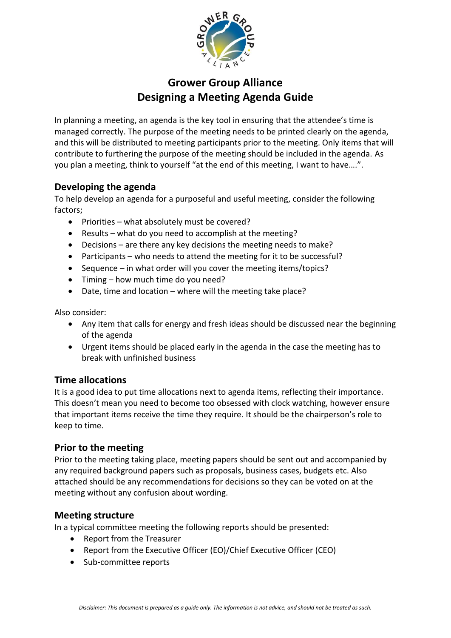

# **Grower Group Alliance Designing a Meeting Agenda Guide**

In planning a meeting, an agenda is the key tool in ensuring that the attendee's time is managed correctly. The purpose of the meeting needs to be printed clearly on the agenda, and this will be distributed to meeting participants prior to the meeting. Only items that will contribute to furthering the purpose of the meeting should be included in the agenda. As you plan a meeting, think to yourself "at the end of this meeting, I want to have….".

## **Developing the agenda**

To help develop an agenda for a purposeful and useful meeting, consider the following factors;

- Priorities what absolutely must be covered?
- Results what do you need to accomplish at the meeting?
- Decisions are there any key decisions the meeting needs to make?
- Participants who needs to attend the meeting for it to be successful?
- Sequence in what order will you cover the meeting items/topics?
- Timing how much time do you need?
- Date, time and location where will the meeting take place?

Also consider:

- Any item that calls for energy and fresh ideas should be discussed near the beginning of the agenda
- Urgent items should be placed early in the agenda in the case the meeting has to break with unfinished business

### **Time allocations**

It is a good idea to put time allocations next to agenda items, reflecting their importance. This doesn't mean you need to become too obsessed with clock watching, however ensure that important items receive the time they require. It should be the chairperson's role to keep to time.

### **Prior to the meeting**

Prior to the meeting taking place, meeting papers should be sent out and accompanied by any required background papers such as proposals, business cases, budgets etc. Also attached should be any recommendations for decisions so they can be voted on at the meeting without any confusion about wording.

### **Meeting structure**

In a typical committee meeting the following reports should be presented:

- Report from the Treasurer
- Report from the Executive Officer (EO)/Chief Executive Officer (CEO)
- Sub-committee reports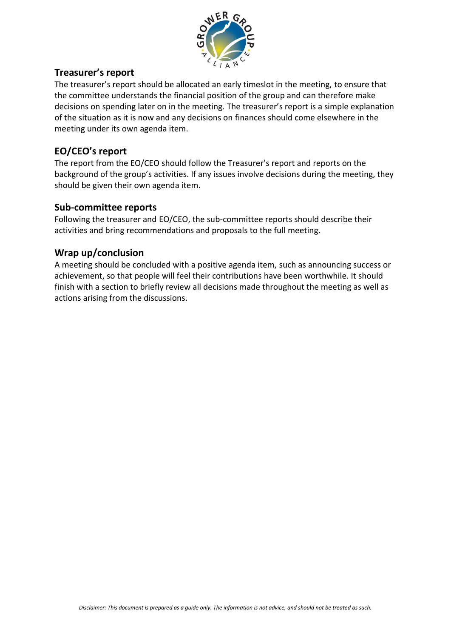

## **Treasurer's report**

The treasurer's report should be allocated an early timeslot in the meeting, to ensure that the committee understands the financial position of the group and can therefore make decisions on spending later on in the meeting. The treasurer's report is a simple explanation of the situation as it is now and any decisions on finances should come elsewhere in the meeting under its own agenda item.

## **EO/CEO's report**

The report from the EO/CEO should follow the Treasurer's report and reports on the background of the group's activities. If any issues involve decisions during the meeting, they should be given their own agenda item.

## **Sub-committee reports**

Following the treasurer and EO/CEO, the sub-committee reports should describe their activities and bring recommendations and proposals to the full meeting.

## **Wrap up/conclusion**

A meeting should be concluded with a positive agenda item, such as announcing success or achievement, so that people will feel their contributions have been worthwhile. It should finish with a section to briefly review all decisions made throughout the meeting as well as actions arising from the discussions.